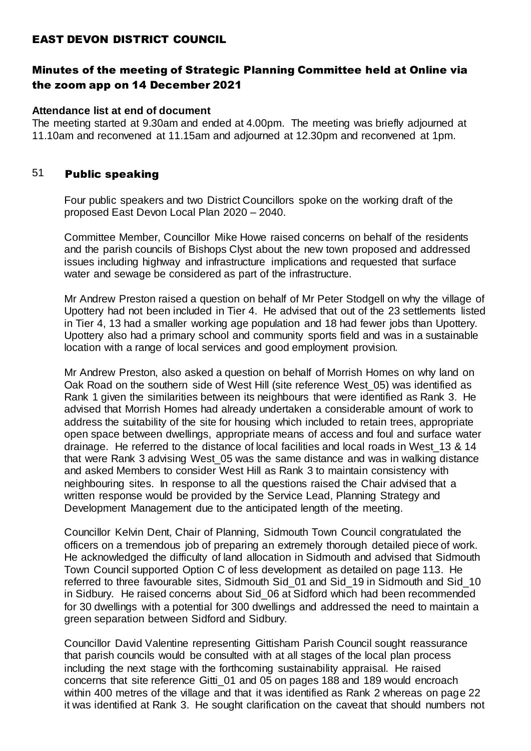## EAST DEVON DISTRICT COUNCIL

# Minutes of the meeting of Strategic Planning Committee held at Online via the zoom app on 14 December 2021

#### **Attendance list at end of document**

The meeting started at 9.30am and ended at 4.00pm. The meeting was briefly adjourned at 11.10am and reconvened at 11.15am and adjourned at 12.30pm and reconvened at 1pm.

## 51 Public speaking

Four public speakers and two District Councillors spoke on the working draft of the proposed East Devon Local Plan 2020 – 2040.

Committee Member, Councillor Mike Howe raised concerns on behalf of the residents and the parish councils of Bishops Clyst about the new town proposed and addressed issues including highway and infrastructure implications and requested that surface water and sewage be considered as part of the infrastructure.

Mr Andrew Preston raised a question on behalf of Mr Peter Stodgell on why the village of Upottery had not been included in Tier 4. He advised that out of the 23 settlements listed in Tier 4, 13 had a smaller working age population and 18 had fewer jobs than Upottery. Upottery also had a primary school and community sports field and was in a sustainable location with a range of local services and good employment provision.

Mr Andrew Preston, also asked a question on behalf of Morrish Homes on why land on Oak Road on the southern side of West Hill (site reference West\_05) was identified as Rank 1 given the similarities between its neighbours that were identified as Rank 3. He advised that Morrish Homes had already undertaken a considerable amount of work to address the suitability of the site for housing which included to retain trees, appropriate open space between dwellings, appropriate means of access and foul and surface water drainage. He referred to the distance of local facilities and local roads in West\_13 & 14 that were Rank 3 advising West\_05 was the same distance and was in walking distance and asked Members to consider West Hill as Rank 3 to maintain consistency with neighbouring sites. In response to all the questions raised the Chair advised that a written response would be provided by the Service Lead, Planning Strategy and Development Management due to the anticipated length of the meeting.

Councillor Kelvin Dent, Chair of Planning, Sidmouth Town Council congratulated the officers on a tremendous job of preparing an extremely thorough detailed piece of work. He acknowledged the difficulty of land allocation in Sidmouth and advised that Sidmouth Town Council supported Option C of less development as detailed on page 113. He referred to three favourable sites, Sidmouth Sid\_01 and Sid\_19 in Sidmouth and Sid\_10 in Sidbury. He raised concerns about Sid\_06 at Sidford which had been recommended for 30 dwellings with a potential for 300 dwellings and addressed the need to maintain a green separation between Sidford and Sidbury.

Councillor David Valentine representing Gittisham Parish Council sought reassurance that parish councils would be consulted with at all stages of the local plan process including the next stage with the forthcoming sustainability appraisal. He raised concerns that site reference Gitti\_01 and 05 on pages 188 and 189 would encroach within 400 metres of the village and that it was identified as Rank 2 whereas on page 22 it was identified at Rank 3. He sought clarification on the caveat that should numbers not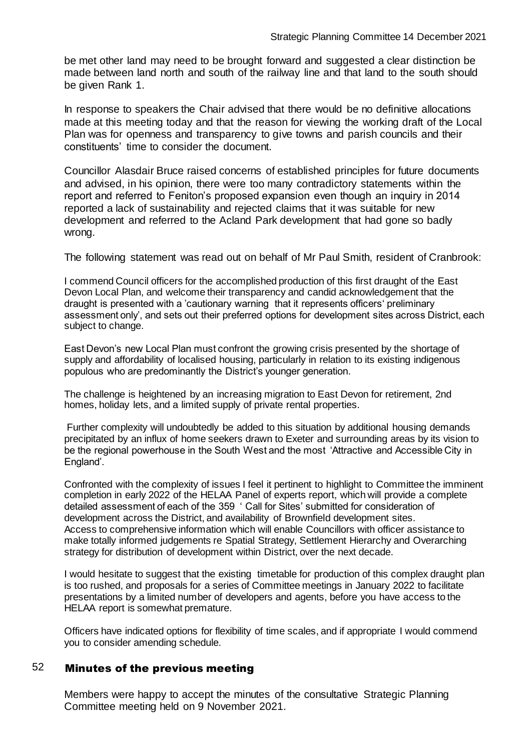be met other land may need to be brought forward and suggested a clear distinction be made between land north and south of the railway line and that land to the south should be given Rank 1.

In response to speakers the Chair advised that there would be no definitive allocations made at this meeting today and that the reason for viewing the working draft of the Local Plan was for openness and transparency to give towns and parish councils and their constituents' time to consider the document.

Councillor Alasdair Bruce raised concerns of established principles for future documents and advised, in his opinion, there were too many contradictory statements within the report and referred to Feniton's proposed expansion even though an inquiry in 2014 reported a lack of sustainability and rejected claims that it was suitable for new development and referred to the Acland Park development that had gone so badly wrong.

The following statement was read out on behalf of Mr Paul Smith, resident of Cranbrook:

I commend Council officers for the accomplished production of this first draught of the East Devon Local Plan, and welcome their transparency and candid acknowledgement that the draught is presented with a 'cautionary warning that it represents officers' preliminary assessment only', and sets out their preferred options for development sites across District, each subject to change.

East Devon's new Local Plan must confront the growing crisis presented by the shortage of supply and affordability of localised housing, particularly in relation to its existing indigenous populous who are predominantly the District's younger generation.

The challenge is heightened by an increasing migration to East Devon for retirement, 2nd homes, holiday lets, and a limited supply of private rental properties.

Further complexity will undoubtedly be added to this situation by additional housing demands precipitated by an influx of home seekers drawn to Exeter and surrounding areas by its vision to be the regional powerhouse in the South West and the most 'Attractive and Accessible City in England'.

Confronted with the complexity of issues I feel it pertinent to highlight to Committee the imminent completion in early 2022 of the HELAA Panel of experts report, which will provide a complete detailed assessment of each of the 359 ' Call for Sites' submitted for consideration of development across the District, and availability of Brownfield development sites. Access to comprehensive information which will enable Councillors with officer assistance to make totally informed judgements re Spatial Strategy, Settlement Hierarchy and Overarching strategy for distribution of development within District, over the next decade.

I would hesitate to suggest that the existing timetable for production of this complex draught plan is too rushed, and proposals for a series of Committee meetings in January 2022 to facilitate presentations by a limited number of developers and agents, before you have access to the HELAA report is somewhat premature.

Officers have indicated options for flexibility of time scales, and if appropriate I would commend you to consider amending schedule.

## 52 Minutes of the previous meeting

Members were happy to accept the minutes of the consultative Strategic Planning Committee meeting held on 9 November 2021.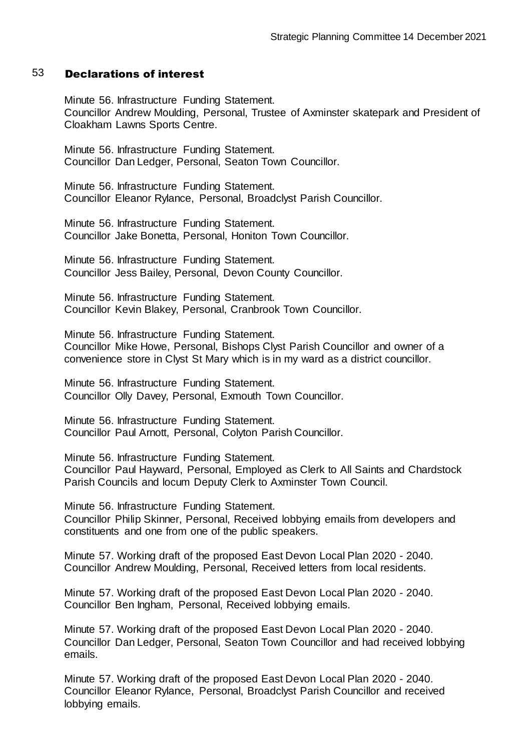#### 53 Declarations of interest

Minute 56. Infrastructure Funding Statement. Councillor Andrew Moulding, Personal, Trustee of Axminster skatepark and President of Cloakham Lawns Sports Centre.

Minute 56. Infrastructure Funding Statement. Councillor Dan Ledger, Personal, Seaton Town Councillor.

Minute 56. Infrastructure Funding Statement. Councillor Eleanor Rylance, Personal, Broadclyst Parish Councillor.

Minute 56. Infrastructure Funding Statement. Councillor Jake Bonetta, Personal, Honiton Town Councillor.

Minute 56. Infrastructure Funding Statement. Councillor Jess Bailey, Personal, Devon County Councillor.

Minute 56. Infrastructure Funding Statement. Councillor Kevin Blakey, Personal, Cranbrook Town Councillor.

Minute 56. Infrastructure Funding Statement. Councillor Mike Howe, Personal, Bishops Clyst Parish Councillor and owner of a convenience store in Clyst St Mary which is in my ward as a district councillor.

Minute 56. Infrastructure Funding Statement. Councillor Olly Davey, Personal, Exmouth Town Councillor.

Minute 56. Infrastructure Funding Statement. Councillor Paul Arnott, Personal, Colyton Parish Councillor.

Minute 56. Infrastructure Funding Statement. Councillor Paul Hayward, Personal, Employed as Clerk to All Saints and Chardstock Parish Councils and locum Deputy Clerk to Axminster Town Council.

Minute 56. Infrastructure Funding Statement. Councillor Philip Skinner, Personal, Received lobbying emails from developers and constituents and one from one of the public speakers.

Minute 57. Working draft of the proposed East Devon Local Plan 2020 - 2040. Councillor Andrew Moulding, Personal, Received letters from local residents.

Minute 57. Working draft of the proposed East Devon Local Plan 2020 - 2040. Councillor Ben Ingham, Personal, Received lobbying emails.

Minute 57. Working draft of the proposed East Devon Local Plan 2020 - 2040. Councillor Dan Ledger, Personal, Seaton Town Councillor and had received lobbying emails.

Minute 57. Working draft of the proposed East Devon Local Plan 2020 - 2040. Councillor Eleanor Rylance, Personal, Broadclyst Parish Councillor and received lobbying emails.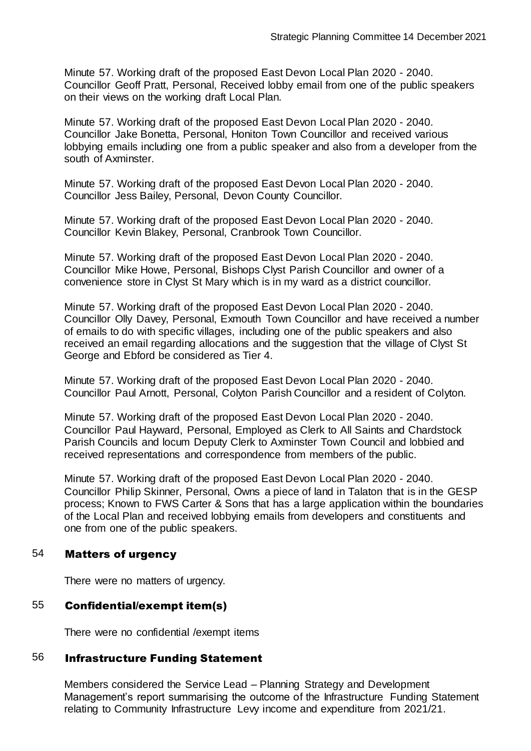Minute 57. Working draft of the proposed East Devon Local Plan 2020 - 2040. Councillor Geoff Pratt, Personal, Received lobby email from one of the public speakers on their views on the working draft Local Plan.

Minute 57. Working draft of the proposed East Devon Local Plan 2020 - 2040. Councillor Jake Bonetta, Personal, Honiton Town Councillor and received various lobbying emails including one from a public speaker and also from a developer from the south of Axminster.

Minute 57. Working draft of the proposed East Devon Local Plan 2020 - 2040. Councillor Jess Bailey, Personal, Devon County Councillor.

Minute 57. Working draft of the proposed East Devon Local Plan 2020 - 2040. Councillor Kevin Blakey, Personal, Cranbrook Town Councillor.

Minute 57. Working draft of the proposed East Devon Local Plan 2020 - 2040. Councillor Mike Howe, Personal, Bishops Clyst Parish Councillor and owner of a convenience store in Clyst St Mary which is in my ward as a district councillor.

Minute 57. Working draft of the proposed East Devon Local Plan 2020 - 2040. Councillor Olly Davey, Personal, Exmouth Town Councillor and have received a number of emails to do with specific villages, including one of the public speakers and also received an email regarding allocations and the suggestion that the village of Clyst St George and Ebford be considered as Tier 4.

Minute 57. Working draft of the proposed East Devon Local Plan 2020 - 2040. Councillor Paul Arnott, Personal, Colyton Parish Councillor and a resident of Colyton.

Minute 57. Working draft of the proposed East Devon Local Plan 2020 - 2040. Councillor Paul Hayward, Personal, Employed as Clerk to All Saints and Chardstock Parish Councils and locum Deputy Clerk to Axminster Town Council and lobbied and received representations and correspondence from members of the public.

Minute 57. Working draft of the proposed East Devon Local Plan 2020 - 2040. Councillor Philip Skinner, Personal, Owns a piece of land in Talaton that is in the GESP process; Known to FWS Carter & Sons that has a large application within the boundaries of the Local Plan and received lobbying emails from developers and constituents and one from one of the public speakers.

## 54 Matters of urgency

There were no matters of urgency.

# 55 Confidential/exempt item(s)

There were no confidential /exempt items

## 56 Infrastructure Funding Statement

Members considered the Service Lead – Planning Strategy and Development Management's report summarising the outcome of the Infrastructure Funding Statement relating to Community Infrastructure Levy income and expenditure from 2021/21.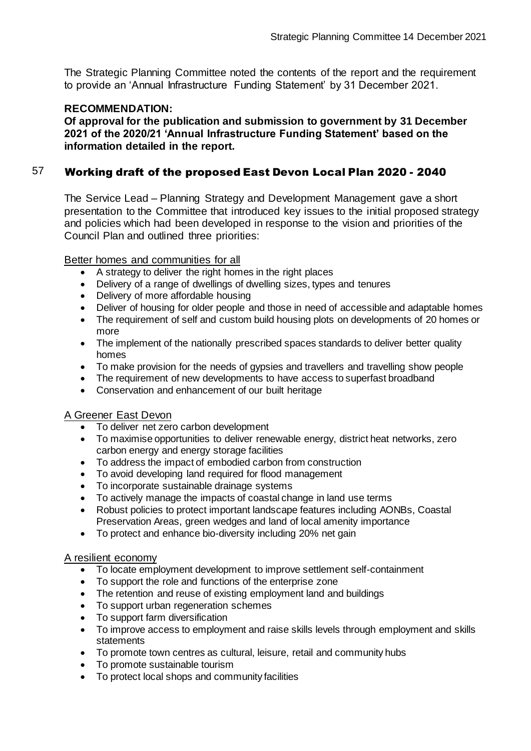The Strategic Planning Committee noted the contents of the report and the requirement to provide an 'Annual Infrastructure Funding Statement' by 31 December 2021.

## **RECOMMENDATION:**

**Of approval for the publication and submission to government by 31 December 2021 of the 2020/21 'Annual Infrastructure Funding Statement' based on the information detailed in the report.**

# 57 Working draft of the proposed East Devon Local Plan 2020 - 2040

The Service Lead – Planning Strategy and Development Management gave a short presentation to the Committee that introduced key issues to the initial proposed strategy and policies which had been developed in response to the vision and priorities of the Council Plan and outlined three priorities:

Better homes and communities for all

- A strategy to deliver the right homes in the right places
- Delivery of a range of dwellings of dwelling sizes, types and tenures
- Delivery of more affordable housing
- Deliver of housing for older people and those in need of accessible and adaptable homes
- The requirement of self and custom build housing plots on developments of 20 homes or more
- The implement of the nationally prescribed spaces standards to deliver better quality homes
- To make provision for the needs of gypsies and travellers and travelling show people
- The requirement of new developments to have access to superfast broadband
- Conservation and enhancement of our built heritage

## A Greener East Devon

- To deliver net zero carbon development
- To maximise opportunities to deliver renewable energy, district heat networks, zero carbon energy and energy storage facilities
- To address the impact of embodied carbon from construction
- To avoid developing land required for flood management
- To incorporate sustainable drainage systems
- To actively manage the impacts of coastal change in land use terms
- Robust policies to protect important landscape features including AONBs, Coastal Preservation Areas, green wedges and land of local amenity importance
- To protect and enhance bio-diversity including 20% net gain

#### A resilient economy

- To locate employment development to improve settlement self-containment
- To support the role and functions of the enterprise zone
- The retention and reuse of existing employment land and buildings
- To support urban regeneration schemes
- To support farm diversification
- To improve access to employment and raise skills levels through employment and skills **statements**
- To promote town centres as cultural, leisure, retail and community hubs
- To promote sustainable tourism
- To protect local shops and community facilities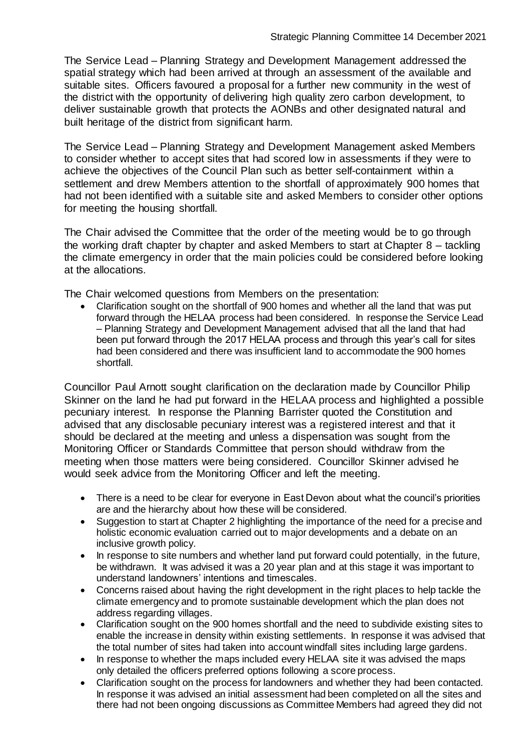The Service Lead – Planning Strategy and Development Management addressed the spatial strategy which had been arrived at through an assessment of the available and suitable sites. Officers favoured a proposal for a further new community in the west of the district with the opportunity of delivering high quality zero carbon development, to deliver sustainable growth that protects the AONBs and other designated natural and built heritage of the district from significant harm.

The Service Lead – Planning Strategy and Development Management asked Members to consider whether to accept sites that had scored low in assessments if they were to achieve the objectives of the Council Plan such as better self-containment within a settlement and drew Members attention to the shortfall of approximately 900 homes that had not been identified with a suitable site and asked Members to consider other options for meeting the housing shortfall.

The Chair advised the Committee that the order of the meeting would be to go through the working draft chapter by chapter and asked Members to start at Chapter 8 – tackling the climate emergency in order that the main policies could be considered before looking at the allocations.

The Chair welcomed questions from Members on the presentation:

 Clarification sought on the shortfall of 900 homes and whether all the land that was put forward through the HELAA process had been considered. In response the Service Lead – Planning Strategy and Development Management advised that all the land that had been put forward through the 2017 HELAA process and through this year's call for sites had been considered and there was insufficient land to accommodate the 900 homes shortfall.

Councillor Paul Arnott sought clarification on the declaration made by Councillor Philip Skinner on the land he had put forward in the HELAA process and highlighted a possible pecuniary interest. In response the Planning Barrister quoted the Constitution and advised that any disclosable pecuniary interest was a registered interest and that it should be declared at the meeting and unless a dispensation was sought from the Monitoring Officer or Standards Committee that person should withdraw from the meeting when those matters were being considered. Councillor Skinner advised he would seek advice from the Monitoring Officer and left the meeting.

- There is a need to be clear for everyone in East Devon about what the council's priorities are and the hierarchy about how these will be considered.
- Suggestion to start at Chapter 2 highlighting the importance of the need for a precise and holistic economic evaluation carried out to major developments and a debate on an inclusive growth policy.
- In response to site numbers and whether land put forward could potentially, in the future, be withdrawn. It was advised it was a 20 year plan and at this stage it was important to understand landowners' intentions and timescales.
- Concerns raised about having the right development in the right places to help tackle the climate emergency and to promote sustainable development which the plan does not address regarding villages.
- Clarification sought on the 900 homes shortfall and the need to subdivide existing sites to enable the increase in density within existing settlements. In response it was advised that the total number of sites had taken into account windfall sites including large gardens.
- In response to whether the maps included every HELAA site it was advised the maps only detailed the officers preferred options following a score process.
- Clarification sought on the process for landowners and whether they had been contacted. In response it was advised an initial assessment had been completed on all the sites and there had not been ongoing discussions as Committee Members had agreed they did not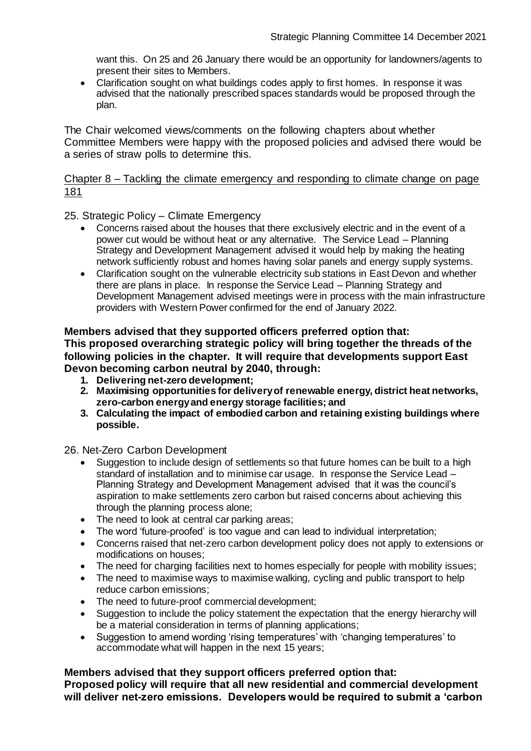want this. On 25 and 26 January there would be an opportunity for landowners/agents to present their sites to Members.

• Clarification sought on what buildings codes apply to first homes. In response it was advised that the nationally prescribed spaces standards would be proposed through the plan.

The Chair welcomed views/comments on the following chapters about whether Committee Members were happy with the proposed policies and advised there would be a series of straw polls to determine this.

#### Chapter 8 – Tackling the climate emergency and responding to climate change on page 181

25. Strategic Policy – Climate Emergency

- Concerns raised about the houses that there exclusively electric and in the event of a power cut would be without heat or any alternative. The Service Lead – Planning Strategy and Development Management advised it would help by making the heating network sufficiently robust and homes having solar panels and energy supply systems.
- Clarification sought on the vulnerable electricity sub stations in East Devon and whether there are plans in place. In response the Service Lead – Planning Strategy and Development Management advised meetings were in process with the main infrastructure providers with Western Power confirmed for the end of January 2022.

#### **Members advised that they supported officers preferred option that: This proposed overarching strategic policy will bring together the threads of the following policies in the chapter. It will require that developments support East Devon becoming carbon neutral by 2040, through:**

- **1. Delivering net-zero development;**
- **2. Maximising opportunities for delivery of renewable energy, district heat networks, zero-carbon energy and energy storage facilities; and**
- **3. Calculating the impact of embodied carbon and retaining existing buildings where possible.**

26. Net-Zero Carbon Development

- Suggestion to include design of settlements so that future homes can be built to a high standard of installation and to minimise car usage. In response the Service Lead – Planning Strategy and Development Management advised that it was the council's aspiration to make settlements zero carbon but raised concerns about achieving this through the planning process alone;
- The need to look at central car parking areas;
- The word 'future-proofed' is too vague and can lead to individual interpretation;
- Concerns raised that net-zero carbon development policy does not apply to extensions or modifications on houses;
- The need for charging facilities next to homes especially for people with mobility issues;
- The need to maximise ways to maximise walking, cycling and public transport to help reduce carbon emissions;
- The need to future-proof commercial development;
- Suggestion to include the policy statement the expectation that the energy hierarchy will be a material consideration in terms of planning applications;
- Suggestion to amend wording 'rising temperatures' with 'changing temperatures' to accommodate what will happen in the next 15 years;

**Members advised that they support officers preferred option that:**

**Proposed policy will require that all new residential and commercial development will deliver net-zero emissions. Developers would be required to submit a 'carbon**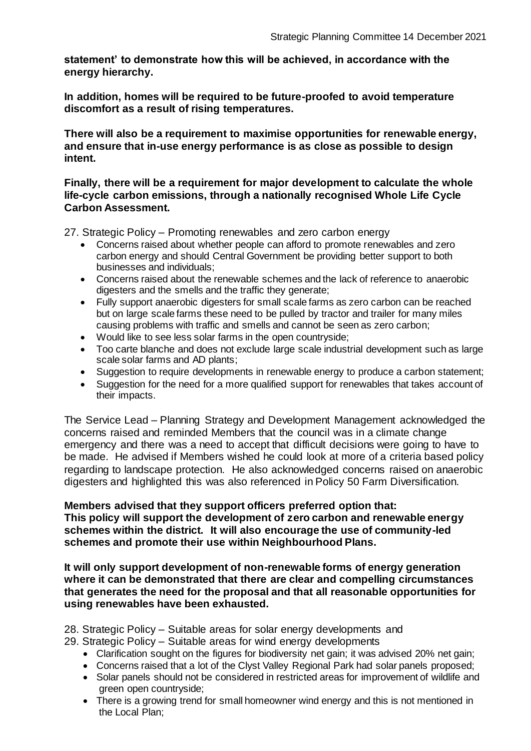**statement' to demonstrate how this will be achieved, in accordance with the energy hierarchy.**

**In addition, homes will be required to be future-proofed to avoid temperature discomfort as a result of rising temperatures.**

**There will also be a requirement to maximise opportunities for renewable energy, and ensure that in-use energy performance is as close as possible to design intent.**

**Finally, there will be a requirement for major development to calculate the whole life-cycle carbon emissions, through a nationally recognised Whole Life Cycle Carbon Assessment.**

27. Strategic Policy – Promoting renewables and zero carbon energy

- Concerns raised about whether people can afford to promote renewables and zero carbon energy and should Central Government be providing better support to both businesses and individuals;
- Concerns raised about the renewable schemes and the lack of reference to anaerobic digesters and the smells and the traffic they generate;
- Fully support anaerobic digesters for small scale farms as zero carbon can be reached but on large scale farms these need to be pulled by tractor and trailer for many miles causing problems with traffic and smells and cannot be seen as zero carbon;
- Would like to see less solar farms in the open countryside;
- Too carte blanche and does not exclude large scale industrial development such as large scale solar farms and AD plants;
- Suggestion to require developments in renewable energy to produce a carbon statement;
- Suggestion for the need for a more qualified support for renewables that takes account of their impacts.

The Service Lead – Planning Strategy and Development Management acknowledged the concerns raised and reminded Members that the council was in a climate change emergency and there was a need to accept that difficult decisions were going to have to be made. He advised if Members wished he could look at more of a criteria based policy regarding to landscape protection. He also acknowledged concerns raised on anaerobic digesters and highlighted this was also referenced in Policy 50 Farm Diversification.

## **Members advised that they support officers preferred option that: This policy will support the development of zero carbon and renewable energy schemes within the district. It will also encourage the use of community-led schemes and promote their use within Neighbourhood Plans.**

**It will only support development of non-renewable forms of energy generation where it can be demonstrated that there are clear and compelling circumstances that generates the need for the proposal and that all reasonable opportunities for using renewables have been exhausted.**

28. Strategic Policy – Suitable areas for solar energy developments and

- 29. Strategic Policy Suitable areas for wind energy developments
	- Clarification sought on the figures for biodiversity net gain; it was advised 20% net gain;
	- Concerns raised that a lot of the Clyst Valley Regional Park had solar panels proposed;
	- Solar panels should not be considered in restricted areas for improvement of wildlife and green open countryside;
	- There is a growing trend for small homeowner wind energy and this is not mentioned in the Local Plan;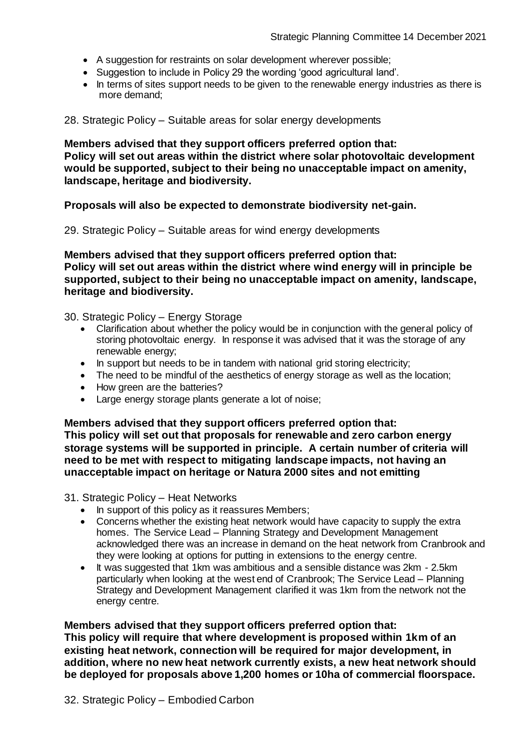- A suggestion for restraints on solar development wherever possible;
- Suggestion to include in Policy 29 the wording 'good agricultural land'.
- In terms of sites support needs to be given to the renewable energy industries as there is more demand;

28. Strategic Policy – Suitable areas for solar energy developments

**Members advised that they support officers preferred option that: Policy will set out areas within the district where solar photovoltaic development would be supported, subject to their being no unacceptable impact on amenity, landscape, heritage and biodiversity.**

**Proposals will also be expected to demonstrate biodiversity net-gain.**

29. Strategic Policy – Suitable areas for wind energy developments

**Members advised that they support officers preferred option that: Policy will set out areas within the district where wind energy will in principle be supported, subject to their being no unacceptable impact on amenity, landscape, heritage and biodiversity.**

30. Strategic Policy – Energy Storage

- Clarification about whether the policy would be in conjunction with the general policy of storing photovoltaic energy. In response it was advised that it was the storage of any renewable energy;
- In support but needs to be in tandem with national grid storing electricity;
- The need to be mindful of the aesthetics of energy storage as well as the location;
- How green are the batteries?
- Large energy storage plants generate a lot of noise;

**Members advised that they support officers preferred option that: This policy will set out that proposals for renewable and zero carbon energy storage systems will be supported in principle. A certain number of criteria will need to be met with respect to mitigating landscape impacts, not having an unacceptable impact on heritage or Natura 2000 sites and not emitting**

31. Strategic Policy – Heat Networks

- In support of this policy as it reassures Members;
- Concerns whether the existing heat network would have capacity to supply the extra homes. The Service Lead – Planning Strategy and Development Management acknowledged there was an increase in demand on the heat network from Cranbrook and they were looking at options for putting in extensions to the energy centre.
- It was suggested that 1km was ambitious and a sensible distance was 2km 2.5km particularly when looking at the west end of Cranbrook; The Service Lead – Planning Strategy and Development Management clarified it was 1km from the network not the energy centre.

# **Members advised that they support officers preferred option that:**

**This policy will require that where development is proposed within 1km of an existing heat network, connection will be required for major development, in addition, where no new heat network currently exists, a new heat network should be deployed for proposals above 1,200 homes or 10ha of commercial floorspace.**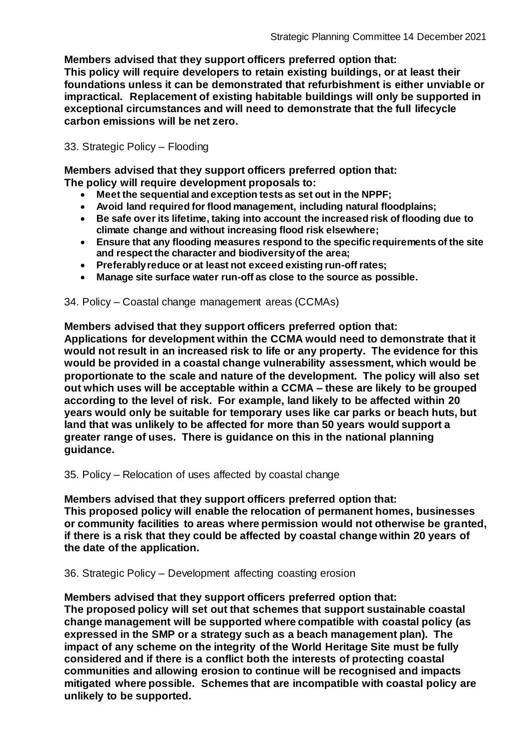**Members advised that they support officers preferred option that:**

**This policy will require developers to retain existing buildings, or at least their foundations unless it can be demonstrated that refurbishment is either unviable or impractical. Replacement of existing habitable buildings will only be supported in exceptional circumstances and will need to demonstrate that the full lifecycle carbon emissions will be net zero.**

33. Strategic Policy – Flooding

**Members advised that they support officers preferred option that: The policy will require development proposals to:**

- **Meet the sequential and exception tests as set out in the NPPF;**
- **Avoid land required for flood management, including natural floodplains;**
- **Be safe over its lifetime, taking into account the increased risk of flooding due to climate change and without increasing flood risk elsewhere;**
- **Ensure that any flooding measures respond to the specific requirements of the site and respect the character and biodiversity of the area;**
- **Preferably reduce or at least not exceed existing run-off rates;**
- **Manage site surface water run-off as close to the source as possible.**

34. Policy – Coastal change management areas (CCMAs)

**Members advised that they support officers preferred option that:**

**Applications for development within the CCMA would need to demonstrate that it would not result in an increased risk to life or any property. The evidence for this would be provided in a coastal change vulnerability assessment, which would be proportionate to the scale and nature of the development. The policy will also set out which uses will be acceptable within a CCMA – these are likely to be grouped according to the level of risk. For example, land likely to be affected within 20 years would only be suitable for temporary uses like car parks or beach huts, but land that was unlikely to be affected for more than 50 years would support a greater range of uses. There is guidance on this in the national planning guidance.**

35. Policy – Relocation of uses affected by coastal change

**Members advised that they support officers preferred option that: This proposed policy will enable the relocation of permanent homes, businesses or community facilities to areas where permission would not otherwise be granted, if there is a risk that they could be affected by coastal change within 20 years of the date of the application.**

36. Strategic Policy – Development affecting coasting erosion

**Members advised that they support officers preferred option that: The proposed policy will set out that schemes that support sustainable coastal change management will be supported where compatible with coastal policy (as expressed in the SMP or a strategy such as a beach management plan). The impact of any scheme on the integrity of the World Heritage Site must be fully considered and if there is a conflict both the interests of protecting coastal communities and allowing erosion to continue will be recognised and impacts mitigated where possible. Schemes that are incompatible with coastal policy are unlikely to be supported.**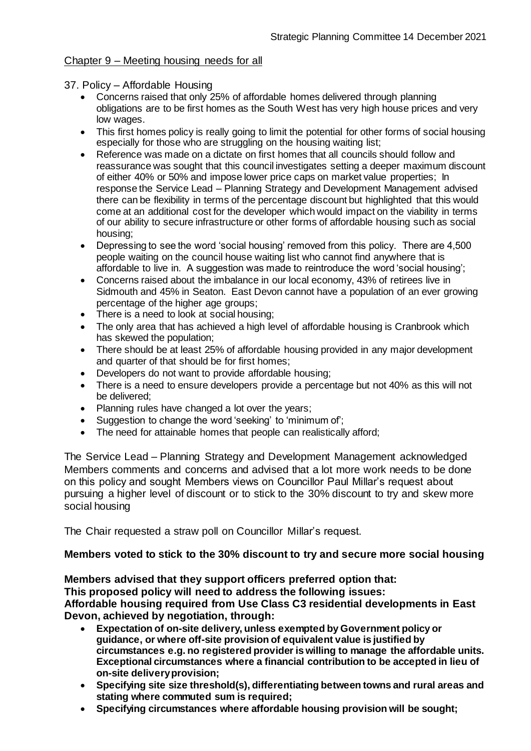## Chapter 9 – Meeting housing needs for all

- 37. Policy Affordable Housing
	- Concerns raised that only 25% of affordable homes delivered through planning obligations are to be first homes as the South West has very high house prices and very low wages.
	- This first homes policy is really going to limit the potential for other forms of social housing especially for those who are struggling on the housing waiting list;
	- Reference was made on a dictate on first homes that all councils should follow and reassurance was sought that this council investigates setting a deeper maximum discount of either 40% or 50% and impose lower price caps on market value properties; In response the Service Lead – Planning Strategy and Development Management advised there can be flexibility in terms of the percentage discount but highlighted that this would come at an additional cost for the developer which would impact on the viability in terms of our ability to secure infrastructure or other forms of affordable housing such as social housing;
	- Depressing to see the word 'social housing' removed from this policy. There are 4,500 people waiting on the council house waiting list who cannot find anywhere that is affordable to live in. A suggestion was made to reintroduce the word 'social housing';
	- Concerns raised about the imbalance in our local economy, 43% of retirees live in Sidmouth and 45% in Seaton. East Devon cannot have a population of an ever growing percentage of the higher age groups;
	- There is a need to look at social housing;
	- The only area that has achieved a high level of affordable housing is Cranbrook which has skewed the population;
	- There should be at least 25% of affordable housing provided in any major development and quarter of that should be for first homes;
	- Developers do not want to provide affordable housing;
	- There is a need to ensure developers provide a percentage but not 40% as this will not be delivered;
	- Planning rules have changed a lot over the years;
	- Suggestion to change the word 'seeking' to 'minimum of';
	- The need for attainable homes that people can realistically afford;

The Service Lead – Planning Strategy and Development Management acknowledged Members comments and concerns and advised that a lot more work needs to be done on this policy and sought Members views on Councillor Paul Millar's request about pursuing a higher level of discount or to stick to the 30% discount to try and skew more social housing

The Chair requested a straw poll on Councillor Millar's request.

## **Members voted to stick to the 30% discount to try and secure more social housing**

**Members advised that they support officers preferred option that: This proposed policy will need to address the following issues: Affordable housing required from Use Class C3 residential developments in East** 

**Devon, achieved by negotiation, through:**

- **Expectation of on-site delivery, unless exempted by Government policy or guidance, or where off-site provision of equivalent value is justified by circumstances e.g. no registered provider is willing to manage the affordable units. Exceptional circumstances where a financial contribution to be accepted in lieu of on-site delivery provision;**
- **Specifying site size threshold(s), differentiating between towns and rural areas and stating where commuted sum is required;**
- **Specifying circumstances where affordable housing provision will be sought;**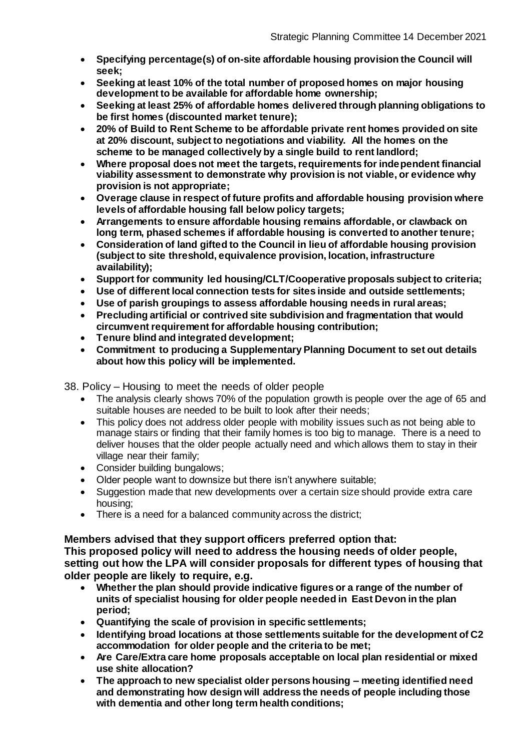- **Specifying percentage(s) of on-site affordable housing provision the Council will seek;**
- **Seeking at least 10% of the total number of proposed homes on major housing development to be available for affordable home ownership;**
- **Seeking at least 25% of affordable homes delivered through planning obligations to be first homes (discounted market tenure);**
- **20% of Build to Rent Scheme to be affordable private rent homes provided on site at 20% discount, subject to negotiations and viability. All the homes on the scheme to be managed collectively by a single build to rent landlord;**
- **Where proposal does not meet the targets, requirements for independent financial viability assessment to demonstrate why provision is not viable, or evidence why provision is not appropriate;**
- **Overage clause in respect of future profits and affordable housing provision where levels of affordable housing fall below policy targets;**
- **Arrangements to ensure affordable housing remains affordable, or clawback on long term, phased schemes if affordable housing is converted to another tenure;**
- **Consideration of land gifted to the Council in lieu of affordable housing provision (subject to site threshold, equivalence provision, location, infrastructure availability);**
- **Support for community led housing/CLT/Cooperative proposals subject to criteria;**
- **Use of different local connection tests for sites inside and outside settlements;**
- **Use of parish groupings to assess affordable housing needs in rural areas;**
- **Precluding artificial or contrived site subdivision and fragmentation that would circumvent requirement for affordable housing contribution;**
- **Tenure blind and integrated development;**
- **Commitment to producing a Supplementary Planning Document to set out details about how this policy will be implemented.**

38. Policy – Housing to meet the needs of older people

- The analysis clearly shows 70% of the population growth is people over the age of 65 and suitable houses are needed to be built to look after their needs;
- This policy does not address older people with mobility issues such as not being able to manage stairs or finding that their family homes is too big to manage. There is a need to deliver houses that the older people actually need and which allows them to stay in their village near their family;
- Consider building bungalows;
- Older people want to downsize but there isn't anywhere suitable;
- Suggestion made that new developments over a certain size should provide extra care housing;
- There is a need for a balanced community across the district;

#### **Members advised that they support officers preferred option that:**

**This proposed policy will need to address the housing needs of older people, setting out how the LPA will consider proposals for different types of housing that older people are likely to require, e.g.**

- **Whether the plan should provide indicative figures or a range of the number of units of specialist housing for older people needed in East Devon in the plan period;**
- **Quantifying the scale of provision in specific settlements;**
- **Identifying broad locations at those settlements suitable for the development of C2 accommodation for older people and the criteria to be met;**
- **Are Care/Extra care home proposals acceptable on local plan residential or mixed use shite allocation?**
- **The approach to new specialist older persons housing – meeting identified need and demonstrating how design will address the needs of people including those with dementia and other long term health conditions;**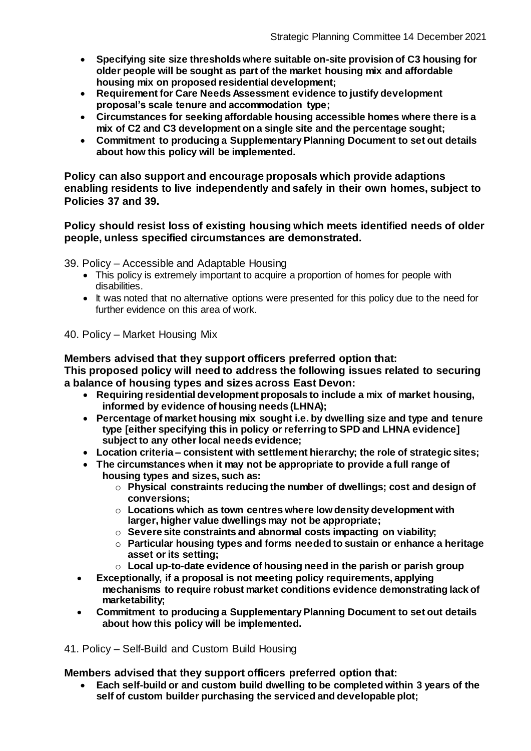- **Specifying site size thresholds where suitable on-site provision of C3 housing for older people will be sought as part of the market housing mix and affordable housing mix on proposed residential development;**
- **Requirement for Care Needs Assessment evidence to justify development proposal's scale tenure and accommodation type;**
- **Circumstances for seeking affordable housing accessible homes where there is a mix of C2 and C3 development on a single site and the percentage sought;**
- **Commitment to producing a Supplementary Planning Document to set out details about how this policy will be implemented.**

**Policy can also support and encourage proposals which provide adaptions enabling residents to live independently and safely in their own homes, subject to Policies 37 and 39.**

#### **Policy should resist loss of existing housing which meets identified needs of older people, unless specified circumstances are demonstrated.**

39. Policy – Accessible and Adaptable Housing

- This policy is extremely important to acquire a proportion of homes for people with disabilities.
- It was noted that no alternative options were presented for this policy due to the need for further evidence on this area of work.

40. Policy – Market Housing Mix

**Members advised that they support officers preferred option that:**

**This proposed policy will need to address the following issues related to securing a balance of housing types and sizes across East Devon:**

- **Requiring residential development proposals to include a mix of market housing, informed by evidence of housing needs (LHNA);**
- **Percentage of market housing mix sought i.e. by dwelling size and type and tenure type [either specifying this in policy or referring to SPD and LHNA evidence] subject to any other local needs evidence;**
- **Location criteria – consistent with settlement hierarchy; the role of strategic sites;**
- **The circumstances when it may not be appropriate to provide a full range of housing types and sizes, such as:**
	- o **Physical constraints reducing the number of dwellings; cost and design of conversions;**
	- o **Locations which as town centres where low density development with larger, higher value dwellings may not be appropriate;**
	- o **Severe site constraints and abnormal costs impacting on viability;**
	- o **Particular housing types and forms needed to sustain or enhance a heritage asset or its setting;**
	- o **Local up-to-date evidence of housing need in the parish or parish group**
- **Exceptionally, if a proposal is not meeting policy requirements, applying mechanisms to require robust market conditions evidence demonstrating lack of marketability;**
- **Commitment to producing a Supplementary Planning Document to set out details about how this policy will be implemented.**

41. Policy – Self-Build and Custom Build Housing

**Members advised that they support officers preferred option that:**

 **Each self-build or and custom build dwelling to be completed within 3 years of the self of custom builder purchasing the serviced and developable plot;**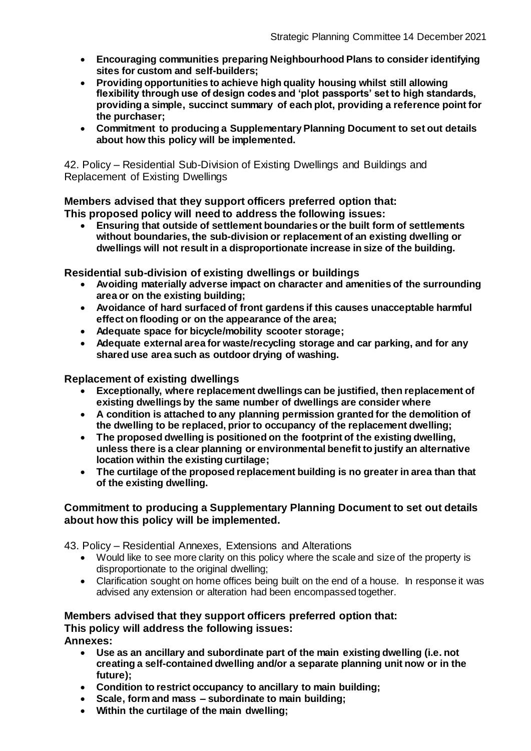- **Encouraging communities preparing Neighbourhood Plans to consider identifying sites for custom and self-builders;**
- **Providing opportunities to achieve high quality housing whilst still allowing flexibility through use of design codes and 'plot passports' set to high standards, providing a simple, succinct summary of each plot, providing a reference point for the purchaser;**
- **Commitment to producing a Supplementary Planning Document to set out details about how this policy will be implemented.**

42. Policy – Residential Sub-Division of Existing Dwellings and Buildings and Replacement of Existing Dwellings

**Members advised that they support officers preferred option that: This proposed policy will need to address the following issues:**

 **Ensuring that outside of settlement boundaries or the built form of settlements without boundaries, the sub-division or replacement of an existing dwelling or dwellings will not result in a disproportionate increase in size of the building.**

**Residential sub-division of existing dwellings or buildings**

- **Avoiding materially adverse impact on character and amenities of the surrounding area or on the existing building;**
- **Avoidance of hard surfaced of front gardens if this causes unacceptable harmful effect on flooding or on the appearance of the area;**
- **Adequate space for bicycle/mobility scooter storage;**
- **Adequate external area for waste/recycling storage and car parking, and for any shared use area such as outdoor drying of washing.**

**Replacement of existing dwellings**

- **Exceptionally, where replacement dwellings can be justified, then replacement of existing dwellings by the same number of dwellings are consider where**
- **A condition is attached to any planning permission granted for the demolition of the dwelling to be replaced, prior to occupancy of the replacement dwelling;**
- **The proposed dwelling is positioned on the footprint of the existing dwelling, unless there is a clear planning or environmental benefit to justify an alternative location within the existing curtilage;**
- **The curtilage of the proposed replacement building is no greater in area than that of the existing dwelling.**

## **Commitment to producing a Supplementary Planning Document to set out details about how this policy will be implemented.**

43. Policy – Residential Annexes, Extensions and Alterations

- Would like to see more clarity on this policy where the scale and size of the property is disproportionate to the original dwelling;
- Clarification sought on home offices being built on the end of a house. In response it was advised any extension or alteration had been encompassed together.

# **Members advised that they support officers preferred option that:**

**This policy will address the following issues:**

**Annexes:**

- **Use as an ancillary and subordinate part of the main existing dwelling (i.e. not creating a self-contained dwelling and/or a separate planning unit now or in the future);**
- **Condition to restrict occupancy to ancillary to main building;**
- **Scale, form and mass – subordinate to main building;**
- **Within the curtilage of the main dwelling;**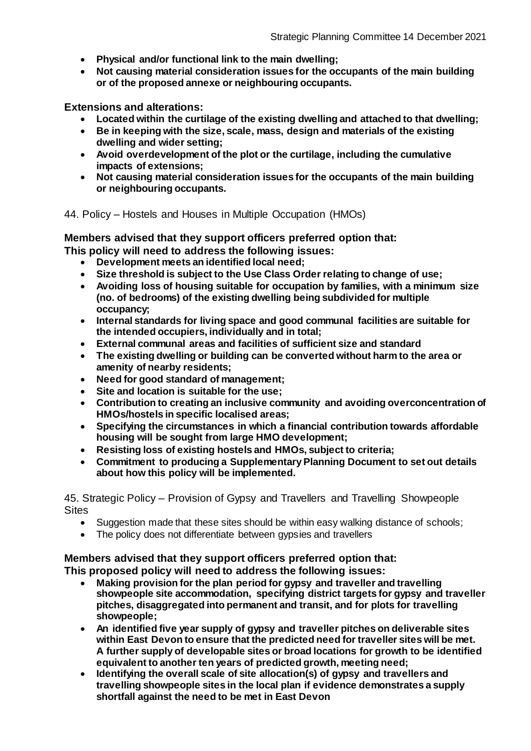- **Physical and/or functional link to the main dwelling;**
- **Not causing material consideration issues for the occupants of the main building or of the proposed annexe or neighbouring occupants.**

**Extensions and alterations:**

- **Located within the curtilage of the existing dwelling and attached to that dwelling;**
- **Be in keeping with the size, scale, mass, design and materials of the existing dwelling and wider setting;**
- **Avoid overdevelopment of the plot or the curtilage, including the cumulative impacts of extensions;**
- **Not causing material consideration issues for the occupants of the main building or neighbouring occupants.**

44. Policy – Hostels and Houses in Multiple Occupation (HMOs)

**Members advised that they support officers preferred option that:**

**This policy will need to address the following issues:**

- **Development meets an identified local need;**
- **Size threshold is subject to the Use Class Order relating to change of use;**
- **Avoiding loss of housing suitable for occupation by families, with a minimum size (no. of bedrooms) of the existing dwelling being subdivided for multiple occupancy;**
- **Internal standards for living space and good communal facilities are suitable for the intended occupiers, individually and in total;**
- **External communal areas and facilities of sufficient size and standard**
- **The existing dwelling or building can be converted without harm to the area or amenity of nearby residents;**
- **Need for good standard of management;**
- **Site and location is suitable for the use;**
- **Contribution to creating an inclusive community and avoiding overconcentration of HMOs/hostels in specific localised areas;**
- **Specifying the circumstances in which a financial contribution towards affordable housing will be sought from large HMO development;**
- **Resisting loss of existing hostels and HMOs, subject to criteria;**
- **Commitment to producing a Supplementary Planning Document to set out details about how this policy will be implemented.**

45. Strategic Policy – Provision of Gypsy and Travellers and Travelling Showpeople **Sites** 

- Suggestion made that these sites should be within easy walking distance of schools;
- The policy does not differentiate between gypsies and travellers

#### **Members advised that they support officers preferred option that: This proposed policy will need to address the following issues:**

- **Making provision for the plan period for gypsy and traveller and travelling showpeople site accommodation, specifying district targets for gypsy and traveller pitches, disaggregated into permanent and transit, and for plots for travelling showpeople;**
- **An identified five year supply of gypsy and traveller pitches on deliverable sites within East Devon to ensure that the predicted need for traveller sites will be met. A further supply of developable sites or broad locations for growth to be identified equivalent to another ten years of predicted growth, meeting need;**
- **Identifying the overall scale of site allocation(s) of gypsy and travellers and travelling showpeople sites in the local plan if evidence demonstrates a supply shortfall against the need to be met in East Devon**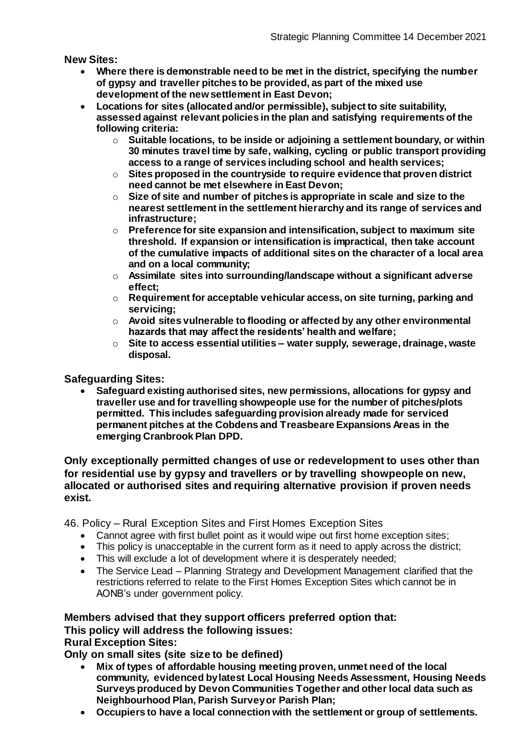**New Sites:**

- **Where there is demonstrable need to be met in the district, specifying the number of gypsy and traveller pitches to be provided, as part of the mixed use development of the new settlement in East Devon;**
- **Locations for sites (allocated and/or permissible), subject to site suitability, assessed against relevant policies in the plan and satisfying requirements of the following criteria:**
	- o **Suitable locations, to be inside or adjoining a settlement boundary, or within 30 minutes travel time by safe, walking, cycling or public transport providing access to a range of services including school and health services;**
	- o **Sites proposed in the countryside to require evidence that proven district need cannot be met elsewhere in East Devon;**
	- o **Size of site and number of pitches is appropriate in scale and size to the nearest settlement in the settlement hierarchy and its range of services and infrastructure;**
	- o **Preference for site expansion and intensification, subject to maximum site threshold. If expansion or intensification is impractical, then take account of the cumulative impacts of additional sites on the character of a local area and on a local community;**
	- o **Assimilate sites into surrounding/landscape without a significant adverse effect;**
	- o **Requirement for acceptable vehicular access, on site turning, parking and servicing;**
	- o **Avoid sites vulnerable to flooding or affected by any other environmental hazards that may affect the residents' health and welfare;**
	- o **Site to access essential utilities – water supply, sewerage, drainage, waste disposal.**

## **Safeguarding Sites:**

 **Safeguard existing authorised sites, new permissions, allocations for gypsy and traveller use and for travelling showpeople use for the number of pitches/plots permitted. This includes safeguarding provision already made for serviced permanent pitches at the Cobdens and Treasbeare Expansions Areas in the emerging Cranbrook Plan DPD.**

#### **Only exceptionally permitted changes of use or redevelopment to uses other than for residential use by gypsy and travellers or by travelling showpeople on new, allocated or authorised sites and requiring alternative provision if proven needs exist.**

46. Policy – Rural Exception Sites and First Homes Exception Sites

- Cannot agree with first bullet point as it would wipe out first home exception sites;
- This policy is unacceptable in the current form as it need to apply across the district;
- This will exclude a lot of development where it is desperately needed;
- The Service Lead Planning Strategy and Development Management clarified that the restrictions referred to relate to the First Homes Exception Sites which cannot be in AONB's under government policy.

## **Members advised that they support officers preferred option that:**

**This policy will address the following issues:**

**Rural Exception Sites:**

**Only on small sites (site size to be defined)**

- **Mix of types of affordable housing meeting proven, unmet need of the local community, evidenced by latest Local Housing Needs Assessment, Housing Needs Surveys produced by Devon Communities Together and other local data such as Neighbourhood Plan, Parish Survey or Parish Plan;**
- **Occupiers to have a local connection with the settlement or group of settlements.**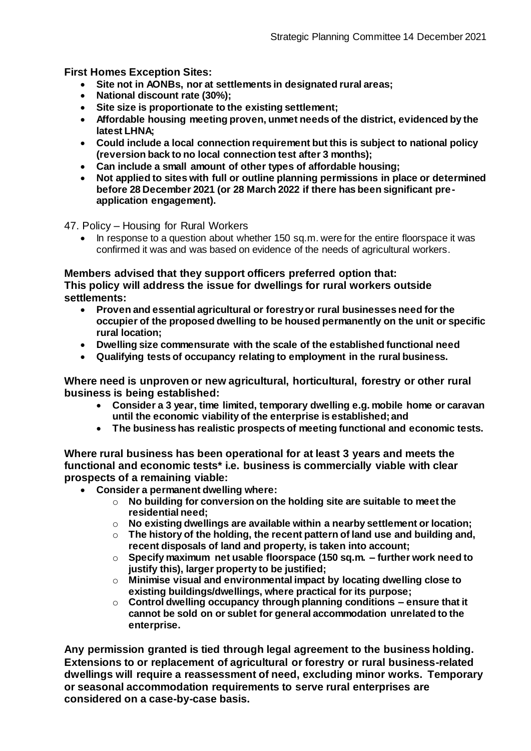**First Homes Exception Sites:**

- **Site not in AONBs, nor at settlements in designated rural areas;**<br>• National discount rate (30%)<sup>.</sup>
- **National discount rate (30%);**
- **Site size is proportionate to the existing settlement;**
- **Affordable housing meeting proven, unmet needs of the district, evidenced by the latest LHNA;**
- **Could include a local connection requirement but this is subject to national policy (reversion back to no local connection test after 3 months);**
- **Can include a small amount of other types of affordable housing;**
- **Not applied to sites with full or outline planning permissions in place or determined before 28 December 2021 (or 28 March 2022 if there has been significant preapplication engagement).**

47. Policy – Housing for Rural Workers

In response to a question about whether 150 sq.m. were for the entire floorspace it was confirmed it was and was based on evidence of the needs of agricultural workers.

#### **Members advised that they support officers preferred option that:**

**This policy will address the issue for dwellings for rural workers outside settlements:**

- **Proven and essential agricultural or forestry or rural businesses need for the occupier of the proposed dwelling to be housed permanently on the unit or specific rural location;**
- **Dwelling size commensurate with the scale of the established functional need**
- **Qualifying tests of occupancy relating to employment in the rural business.**

**Where need is unproven or new agricultural, horticultural, forestry or other rural business is being established:**

- **Consider a 3 year, time limited, temporary dwelling e.g. mobile home or caravan until the economic viability of the enterprise is established; and**
- **The business has realistic prospects of meeting functional and economic tests.**

**Where rural business has been operational for at least 3 years and meets the functional and economic tests\* i.e. business is commercially viable with clear prospects of a remaining viable:**

- **Consider a permanent dwelling where:**
	- o **No building for conversion on the holding site are suitable to meet the residential need;**
	- o **No existing dwellings are available within a nearby settlement or location;**
	- o **The history of the holding, the recent pattern of land use and building and, recent disposals of land and property, is taken into account;**
	- o **Specify maximum net usable floorspace (150 sq.m. – further work need to justify this), larger property to be justified;**
	- o **Minimise visual and environmental impact by locating dwelling close to existing buildings/dwellings, where practical for its purpose;**
	- o **Control dwelling occupancy through planning conditions – ensure that it cannot be sold on or sublet for general accommodation unrelated to the enterprise.**

**Any permission granted is tied through legal agreement to the business holding. Extensions to or replacement of agricultural or forestry or rural business-related dwellings will require a reassessment of need, excluding minor works. Temporary or seasonal accommodation requirements to serve rural enterprises are considered on a case-by-case basis.**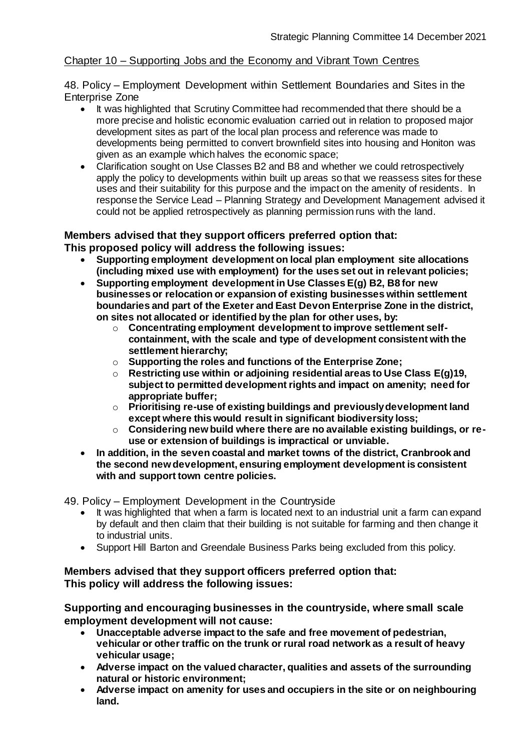## Chapter 10 – Supporting Jobs and the Economy and Vibrant Town Centres

48. Policy – Employment Development within Settlement Boundaries and Sites in the Enterprise Zone

- It was highlighted that Scrutiny Committee had recommended that there should be a more precise and holistic economic evaluation carried out in relation to proposed major development sites as part of the local plan process and reference was made to developments being permitted to convert brownfield sites into housing and Honiton was given as an example which halves the economic space;
- Clarification sought on Use Classes B2 and B8 and whether we could retrospectively apply the policy to developments within built up areas so that we reassess sites for these uses and their suitability for this purpose and the impact on the amenity of residents. In response the Service Lead – Planning Strategy and Development Management advised it could not be applied retrospectively as planning permission runs with the land.

# **Members advised that they support officers preferred option that:**

## **This proposed policy will address the following issues:**

- **Supporting employment development on local plan employment site allocations (including mixed use with employment) for the uses set out in relevant policies;**
- **Supporting employment development in Use Classes E(g) B2, B8 for new businesses or relocation or expansion of existing businesses within settlement boundaries and part of the Exeter and East Devon Enterprise Zone in the district, on sites not allocated or identified by the plan for other uses, by:**
	- o **Concentrating employment development to improve settlement selfcontainment, with the scale and type of development consistent with the settlement hierarchy;**
	- o **Supporting the roles and functions of the Enterprise Zone;**
	- o **Restricting use within or adjoining residential areas to Use Class E(g)19, subject to permitted development rights and impact on amenity; need for appropriate buffer;**
	- o **Prioritising re-use of existing buildings and previously development land except where this would result in significant biodiversity loss;**
	- o **Considering new build where there are no available existing buildings, or reuse or extension of buildings is impractical or unviable.**
- **In addition, in the seven coastal and market towns of the district, Cranbrook and the second new development, ensuring employment development is consistent with and support town centre policies.**

49. Policy – Employment Development in the Countryside

- It was highlighted that when a farm is located next to an industrial unit a farm can expand by default and then claim that their building is not suitable for farming and then change it to industrial units.
- Support Hill Barton and Greendale Business Parks being excluded from this policy.

## **Members advised that they support officers preferred option that: This policy will address the following issues:**

**Supporting and encouraging businesses in the countryside, where small scale employment development will not cause:**

- **Unacceptable adverse impact to the safe and free movement of pedestrian, vehicular or other traffic on the trunk or rural road network as a result of heavy vehicular usage;**
- **Adverse impact on the valued character, qualities and assets of the surrounding natural or historic environment;**
- **Adverse impact on amenity for uses and occupiers in the site or on neighbouring land.**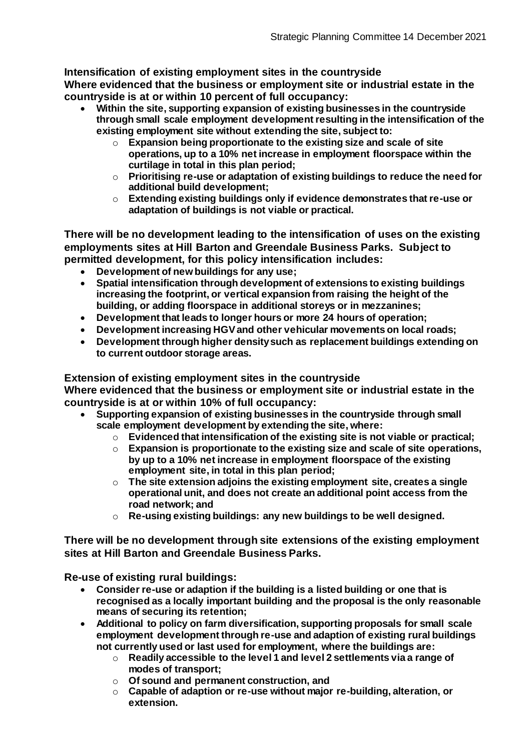**Intensification of existing employment sites in the countryside Where evidenced that the business or employment site or industrial estate in the countryside is at or within 10 percent of full occupancy:**

- **Within the site, supporting expansion of existing businesses in the countryside through small scale employment development resulting in the intensification of the existing employment site without extending the site, subject to:**
	- o **Expansion being proportionate to the existing size and scale of site operations, up to a 10% net increase in employment floorspace within the curtilage in total in this plan period;**
	- o **Prioritising re-use or adaptation of existing buildings to reduce the need for additional build development;**
	- o **Extending existing buildings only if evidence demonstrates that re-use or adaptation of buildings is not viable or practical.**

**There will be no development leading to the intensification of uses on the existing employments sites at Hill Barton and Greendale Business Parks. Subject to permitted development, for this policy intensification includes:**

- **Development of new buildings for any use;**
- **Spatial intensification through development of extensions to existing buildings increasing the footprint, or vertical expansion from raising the height of the building, or adding floorspace in additional storeys or in mezzanines;**
- **Development that leads to longer hours or more 24 hours of operation;**
- **Development increasing HGV and other vehicular movements on local roads;**
- **Development through higher density such as replacement buildings extending on to current outdoor storage areas.**

# **Extension of existing employment sites in the countryside**

**Where evidenced that the business or employment site or industrial estate in the countryside is at or within 10% of full occupancy:**

- **Supporting expansion of existing businesses in the countryside through small scale employment development by extending the site, where:**
	- o **Evidenced that intensification of the existing site is not viable or practical;**
	- o **Expansion is proportionate to the existing size and scale of site operations, by up to a 10% net increase in employment floorspace of the existing employment site, in total in this plan period;**
	- o **The site extension adjoins the existing employment site, creates a single operational unit, and does not create an additional point access from the road network; and**
	- o **Re-using existing buildings: any new buildings to be well designed.**

**There will be no development through site extensions of the existing employment sites at Hill Barton and Greendale Business Parks.**

**Re-use of existing rural buildings:**

- **Consider re-use or adaption if the building is a listed building or one that is recognised as a locally important building and the proposal is the only reasonable means of securing its retention;**
- **Additional to policy on farm diversification, supporting proposals for small scale employment development through re-use and adaption of existing rural buildings not currently used or last used for employment, where the buildings are:**
	- o **Readily accessible to the level 1 and level 2 settlements via a range of modes of transport;**
	- o **Of sound and permanent construction, and**
	- o **Capable of adaption or re-use without major re-building, alteration, or extension.**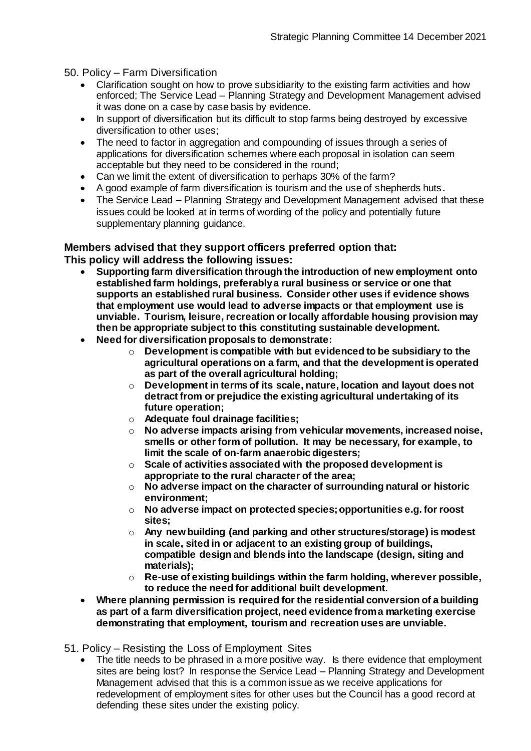#### 50. Policy – Farm Diversification

- Clarification sought on how to prove subsidiarity to the existing farm activities and how enforced; The Service Lead – Planning Strategy and Development Management advised it was done on a case by case basis by evidence.
- In support of diversification but its difficult to stop farms being destroyed by excessive diversification to other uses;
- The need to factor in aggregation and compounding of issues through a series of applications for diversification schemes where each proposal in isolation can seem acceptable but they need to be considered in the round;
- Can we limit the extent of diversification to perhaps 30% of the farm?
- A good example of farm diversification is tourism and the use of shepherds huts**.**
- The Service Lead **–** Planning Strategy and Development Management advised that these issues could be looked at in terms of wording of the policy and potentially future supplementary planning guidance.

#### **Members advised that they support officers preferred option that:**

**This policy will address the following issues:**

- **Supporting farm diversification through the introduction of new employment onto established farm holdings, preferably a rural business or service or one that supports an established rural business. Consider other uses if evidence shows that employment use would lead to adverse impacts or that employment use is unviable. Tourism, leisure, recreation or locally affordable housing provision may then be appropriate subject to this constituting sustainable development.**
- **Need for diversification proposals to demonstrate:**
	- o **Development is compatible with but evidenced to be subsidiary to the agricultural operations on a farm, and that the development is operated as part of the overall agricultural holding;**
	- o **Development in terms of its scale, nature, location and layout does not detract from or prejudice the existing agricultural undertaking of its future operation;**
	- o **Adequate foul drainage facilities;**
	- o **No adverse impacts arising from vehicular movements, increased noise, smells or other form of pollution. It may be necessary, for example, to limit the scale of on-farm anaerobic digesters;**
	- o **Scale of activities associated with the proposed development is appropriate to the rural character of the area;**
	- o **No adverse impact on the character of surrounding natural or historic environment;**
	- o **No adverse impact on protected species; opportunities e.g. for roost sites;**
	- o **Any new building (and parking and other structures/storage) is modest in scale, sited in or adjacent to an existing group of buildings, compatible design and blends into the landscape (design, siting and materials);**
	- o **Re-use of existing buildings within the farm holding, wherever possible, to reduce the need for additional built development.**
- **Where planning permission is required for the residential conversion of a building as part of a farm diversification project, need evidence from a marketing exercise demonstrating that employment, tourism and recreation uses are unviable.**

51. Policy – Resisting the Loss of Employment Sites

 The title needs to be phrased in a more positive way. Is there evidence that employment sites are being lost? In response the Service Lead – Planning Strategy and Development Management advised that this is a common issue as we receive applications for redevelopment of employment sites for other uses but the Council has a good record at defending these sites under the existing policy.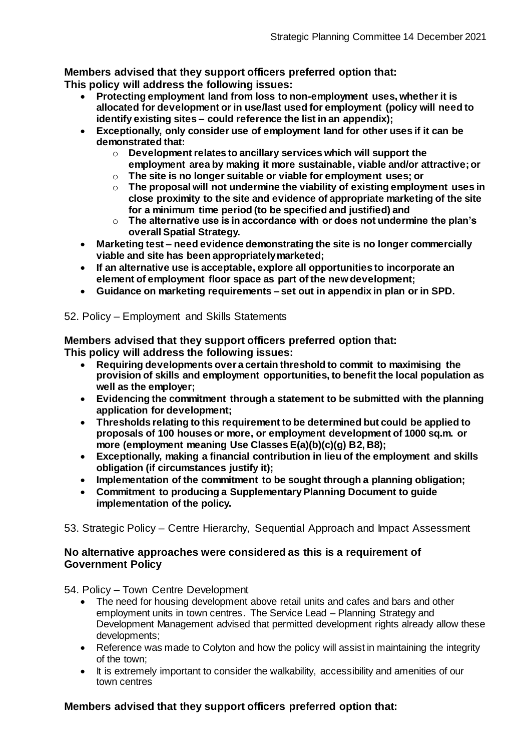**Members advised that they support officers preferred option that:**

**This policy will address the following issues:**

- **Protecting employment land from loss to non-employment uses, whether it is allocated for development or in use/last used for employment (policy will need to identify existing sites – could reference the list in an appendix);**
- **Exceptionally, only consider use of employment land for other uses if it can be demonstrated that:**
	- o **Development relates to ancillary services which will support the employment area by making it more sustainable, viable and/or attractive; or**
	- o **The site is no longer suitable or viable for employment uses; or**
	- o **The proposal will not undermine the viability of existing employment uses in close proximity to the site and evidence of appropriate marketing of the site for a minimum time period (to be specified and justified) and**
	- o **The alternative use is in accordance with or does not undermine the plan's overall Spatial Strategy.**
- **Marketing test – need evidence demonstrating the site is no longer commercially viable and site has been appropriately marketed;**
- **If an alternative use is acceptable, explore all opportunities to incorporate an element of employment floor space as part of the new development;**
- **Guidance on marketing requirements – set out in appendix in plan or in SPD.**

## 52. Policy – Employment and Skills Statements

**Members advised that they support officers preferred option that: This policy will address the following issues:**

- **Requiring developments over a certain threshold to commit to maximising the provision of skills and employment opportunities, to benefit the local population as**
- **well as the employer; Evidencing the commitment through a statement to be submitted with the planning application for development;**
- **Thresholds relating to this requirement to be determined but could be applied to proposals of 100 houses or more, or employment development of 1000 sq.m. or more (employment meaning Use Classes E(a)(b)(c)(g) B2, B8);**
- **Exceptionally, making a financial contribution in lieu of the employment and skills obligation (if circumstances justify it);**
- **Implementation of the commitment to be sought through a planning obligation;**
- **Commitment to producing a Supplementary Planning Document to guide implementation of the policy.**
- 53. Strategic Policy Centre Hierarchy, Sequential Approach and Impact Assessment

## **No alternative approaches were considered as this is a requirement of Government Policy**

54. Policy – Town Centre Development

- The need for housing development above retail units and cafes and bars and other employment units in town centres. The Service Lead – Planning Strategy and Development Management advised that permitted development rights already allow these developments;
- Reference was made to Colyton and how the policy will assist in maintaining the integrity of the town;
- It is extremely important to consider the walkability, accessibility and amenities of our town centres

# **Members advised that they support officers preferred option that:**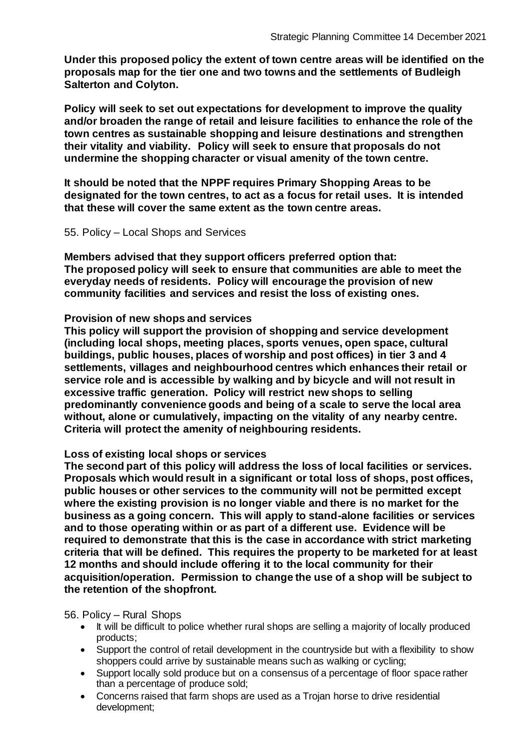**Under this proposed policy the extent of town centre areas will be identified on the proposals map for the tier one and two towns and the settlements of Budleigh Salterton and Colyton.**

**Policy will seek to set out expectations for development to improve the quality and/or broaden the range of retail and leisure facilities to enhance the role of the town centres as sustainable shopping and leisure destinations and strengthen their vitality and viability. Policy will seek to ensure that proposals do not undermine the shopping character or visual amenity of the town centre.**

**It should be noted that the NPPF requires Primary Shopping Areas to be designated for the town centres, to act as a focus for retail uses. It is intended that these will cover the same extent as the town centre areas.**

#### 55. Policy – Local Shops and Services

**Members advised that they support officers preferred option that: The proposed policy will seek to ensure that communities are able to meet the everyday needs of residents. Policy will encourage the provision of new community facilities and services and resist the loss of existing ones.**

#### **Provision of new shops and services**

**This policy will support the provision of shopping and service development (including local shops, meeting places, sports venues, open space, cultural buildings, public houses, places of worship and post offices) in tier 3 and 4 settlements, villages and neighbourhood centres which enhances their retail or service role and is accessible by walking and by bicycle and will not result in excessive traffic generation. Policy will restrict new shops to selling predominantly convenience goods and being of a scale to serve the local area without, alone or cumulatively, impacting on the vitality of any nearby centre. Criteria will protect the amenity of neighbouring residents.**

#### **Loss of existing local shops or services**

**The second part of this policy will address the loss of local facilities or services. Proposals which would result in a significant or total loss of shops, post offices, public houses or other services to the community will not be permitted except where the existing provision is no longer viable and there is no market for the business as a going concern. This will apply to stand-alone facilities or services and to those operating within or as part of a different use. Evidence will be required to demonstrate that this is the case in accordance with strict marketing criteria that will be defined. This requires the property to be marketed for at least 12 months and should include offering it to the local community for their acquisition/operation. Permission to change the use of a shop will be subject to the retention of the shopfront.**

#### 56. Policy – Rural Shops

- It will be difficult to police whether rural shops are selling a majority of locally produced products;
- Support the control of retail development in the countryside but with a flexibility to show shoppers could arrive by sustainable means such as walking or cycling;
- Support locally sold produce but on a consensus of a percentage of floor space rather than a percentage of produce sold;
- Concerns raised that farm shops are used as a Trojan horse to drive residential development;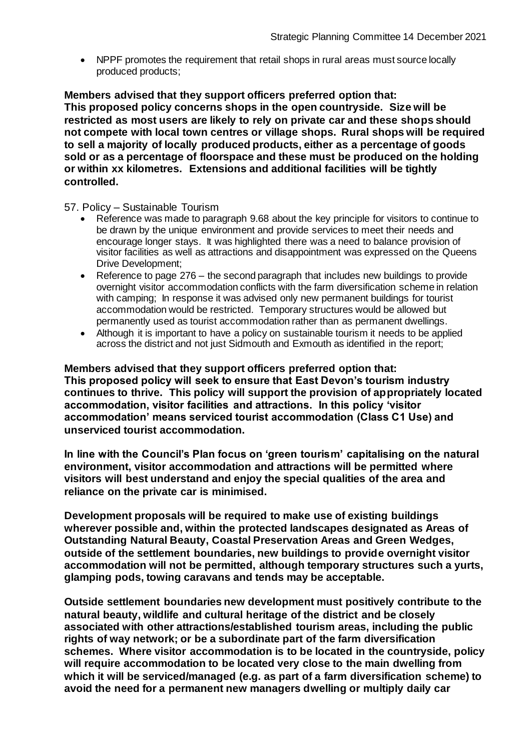NPPF promotes the requirement that retail shops in rural areas must source locally produced products;

**Members advised that they support officers preferred option that: This proposed policy concerns shops in the open countryside. Size will be restricted as most users are likely to rely on private car and these shops should not compete with local town centres or village shops. Rural shops will be required to sell a majority of locally produced products, either as a percentage of goods sold or as a percentage of floorspace and these must be produced on the holding or within xx kilometres. Extensions and additional facilities will be tightly controlled.**

57. Policy – Sustainable Tourism

- Reference was made to paragraph 9.68 about the key principle for visitors to continue to be drawn by the unique environment and provide services to meet their needs and encourage longer stays. It was highlighted there was a need to balance provision of visitor facilities as well as attractions and disappointment was expressed on the Queens Drive Development;
- Reference to page 276 the second paragraph that includes new buildings to provide overnight visitor accommodation conflicts with the farm diversification scheme in relation with camping; In response it was advised only new permanent buildings for tourist accommodation would be restricted. Temporary structures would be allowed but permanently used as tourist accommodation rather than as permanent dwellings.
- Although it is important to have a policy on sustainable tourism it needs to be applied across the district and not just Sidmouth and Exmouth as identified in the report;

**Members advised that they support officers preferred option that:**

**This proposed policy will seek to ensure that East Devon's tourism industry continues to thrive. This policy will support the provision of appropriately located accommodation, visitor facilities and attractions. In this policy 'visitor accommodation' means serviced tourist accommodation (Class C1 Use) and unserviced tourist accommodation.**

**In line with the Council's Plan focus on 'green tourism' capitalising on the natural environment, visitor accommodation and attractions will be permitted where visitors will best understand and enjoy the special qualities of the area and reliance on the private car is minimised.**

**Development proposals will be required to make use of existing buildings wherever possible and, within the protected landscapes designated as Areas of Outstanding Natural Beauty, Coastal Preservation Areas and Green Wedges, outside of the settlement boundaries, new buildings to provide overnight visitor accommodation will not be permitted, although temporary structures such a yurts, glamping pods, towing caravans and tends may be acceptable.**

**Outside settlement boundaries new development must positively contribute to the natural beauty, wildlife and cultural heritage of the district and be closely associated with other attractions/established tourism areas, including the public rights of way network; or be a subordinate part of the farm diversification schemes. Where visitor accommodation is to be located in the countryside, policy will require accommodation to be located very close to the main dwelling from which it will be serviced/managed (e.g. as part of a farm diversification scheme) to avoid the need for a permanent new managers dwelling or multiply daily car**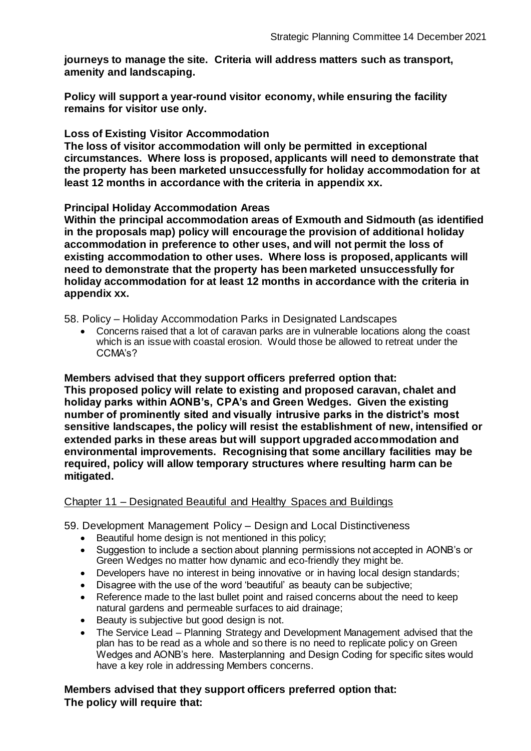**journeys to manage the site. Criteria will address matters such as transport, amenity and landscaping.**

**Policy will support a year-round visitor economy, while ensuring the facility remains for visitor use only.**

#### **Loss of Existing Visitor Accommodation**

**The loss of visitor accommodation will only be permitted in exceptional circumstances. Where loss is proposed, applicants will need to demonstrate that the property has been marketed unsuccessfully for holiday accommodation for at least 12 months in accordance with the criteria in appendix xx.**

#### **Principal Holiday Accommodation Areas**

**Within the principal accommodation areas of Exmouth and Sidmouth (as identified in the proposals map) policy will encourage the provision of additional holiday accommodation in preference to other uses, and will not permit the loss of existing accommodation to other uses. Where loss is proposed, applicants will need to demonstrate that the property has been marketed unsuccessfully for holiday accommodation for at least 12 months in accordance with the criteria in appendix xx.**

58. Policy – Holiday Accommodation Parks in Designated Landscapes

 Concerns raised that a lot of caravan parks are in vulnerable locations along the coast which is an issue with coastal erosion. Would those be allowed to retreat under the CCMA's?

#### **Members advised that they support officers preferred option that: This proposed policy will relate to existing and proposed caravan, chalet and holiday parks within AONB's, CPA's and Green Wedges. Given the existing number of prominently sited and visually intrusive parks in the district's most sensitive landscapes, the policy will resist the establishment of new, intensified or extended parks in these areas but will support upgraded accommodation and environmental improvements. Recognising that some ancillary facilities may be required, policy will allow temporary structures where resulting harm can be mitigated.**

## Chapter 11 – Designated Beautiful and Healthy Spaces and Buildings

59. Development Management Policy – Design and Local Distinctiveness

- Beautiful home design is not mentioned in this policy;
- Suggestion to include a section about planning permissions not accepted in AONB's or Green Wedges no matter how dynamic and eco-friendly they might be.
- Developers have no interest in being innovative or in having local design standards;
- Disagree with the use of the word 'beautiful' as beauty can be subjective;
- Reference made to the last bullet point and raised concerns about the need to keep natural gardens and permeable surfaces to aid drainage;
- Beauty is subjective but good design is not.
- The Service Lead Planning Strategy and Development Management advised that the plan has to be read as a whole and so there is no need to replicate policy on Green Wedges and AONB's here. Masterplanning and Design Coding for specific sites would have a key role in addressing Members concerns.

**Members advised that they support officers preferred option that: The policy will require that:**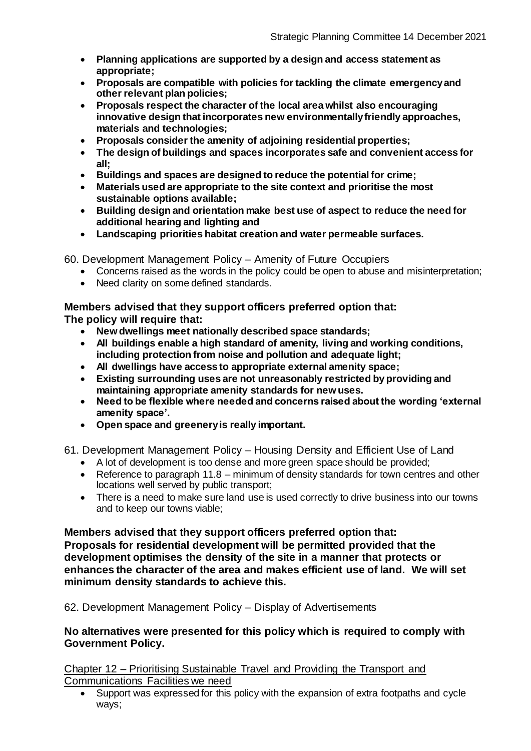- **Planning applications are supported by a design and access statement as appropriate;**
- **Proposals are compatible with policies for tackling the climate emergency and other relevant plan policies;**
- **Proposals respect the character of the local area whilst also encouraging innovative design that incorporates new environmentally friendly approaches, materials and technologies;**
- **Proposals consider the amenity of adjoining residential properties;**
- **The design of buildings and spaces incorporates safe and convenient access for all;**
- **Buildings and spaces are designed to reduce the potential for crime;**
- **Materials used are appropriate to the site context and prioritise the most sustainable options available;**
- **Building design and orientation make best use of aspect to reduce the need for additional hearing and lighting and**
- **Landscaping priorities habitat creation and water permeable surfaces.**

60. Development Management Policy – Amenity of Future Occupiers

- Concerns raised as the words in the policy could be open to abuse and misinterpretation;
- Need clarity on some defined standards.

## **Members advised that they support officers preferred option that:**

**The policy will require that:**

- **New dwellings meet nationally described space standards;**
- **All buildings enable a high standard of amenity, living and working conditions, including protection from noise and pollution and adequate light;**
- **All dwellings have access to appropriate external amenity space;**
- **Existing surrounding uses are not unreasonably restricted by providing and maintaining appropriate amenity standards for new uses.**
- **Need to be flexible where needed and concerns raised about the wording 'external amenity space'.**
- **Open space and greenery is really important.**

61. Development Management Policy – Housing Density and Efficient Use of Land

- A lot of development is too dense and more green space should be provided;
- Reference to paragraph 11.8 minimum of density standards for town centres and other locations well served by public transport;
- There is a need to make sure land use is used correctly to drive business into our towns and to keep our towns viable;

**Members advised that they support officers preferred option that: Proposals for residential development will be permitted provided that the development optimises the density of the site in a manner that protects or enhances the character of the area and makes efficient use of land. We will set minimum density standards to achieve this.**

62. Development Management Policy – Display of Advertisements

## **No alternatives were presented for this policy which is required to comply with Government Policy.**

Chapter 12 – Prioritising Sustainable Travel and Providing the Transport and Communications Facilities we need

 Support was expressed for this policy with the expansion of extra footpaths and cycle ways;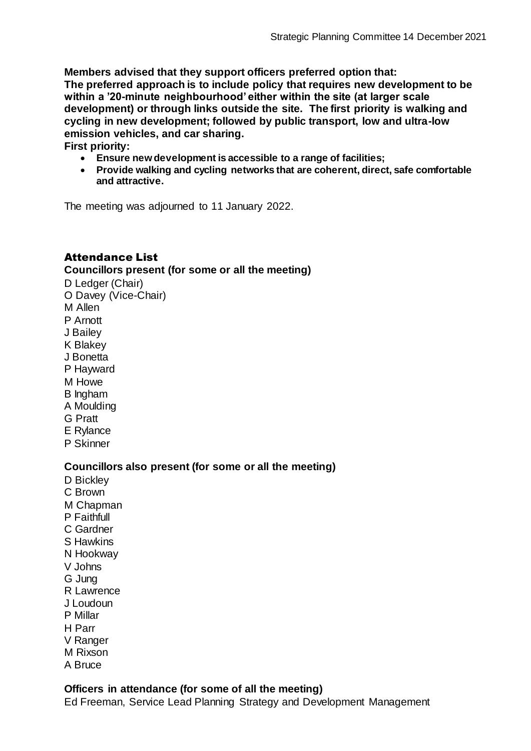**Members advised that they support officers preferred option that:**

**The preferred approach is to include policy that requires new development to be within a '20-minute neighbourhood' either within the site (at larger scale development) or through links outside the site. The first priority is walking and cycling in new development; followed by public transport, low and ultra-low emission vehicles, and car sharing.**

**First priority:**

- **Ensure new development is accessible to a range of facilities;**
- **Provide walking and cycling networks that are coherent, direct, safe comfortable and attractive.**

The meeting was adjourned to 11 January 2022.

# Attendance List

## **Councillors present (for some or all the meeting)**

D Ledger (Chair) O Davey (Vice-Chair) M Allen P Arnott J Bailey K Blakey J Bonetta P Hayward M Howe B Ingham A Moulding G Pratt E Rylance P Skinner **Councillors also present (for some or all the meeting)** D Bickley C Brown M Chapman

- 
- P Faithfull
- C Gardner
- S Hawkins
- N Hookway
- V Johns
- G Jung
- R Lawrence
- J Loudoun
- P Millar
- H Parr
- V Ranger
- M Rixson
- A Bruce

## **Officers in attendance (for some of all the meeting)**

Ed Freeman, Service Lead Planning Strategy and Development Management